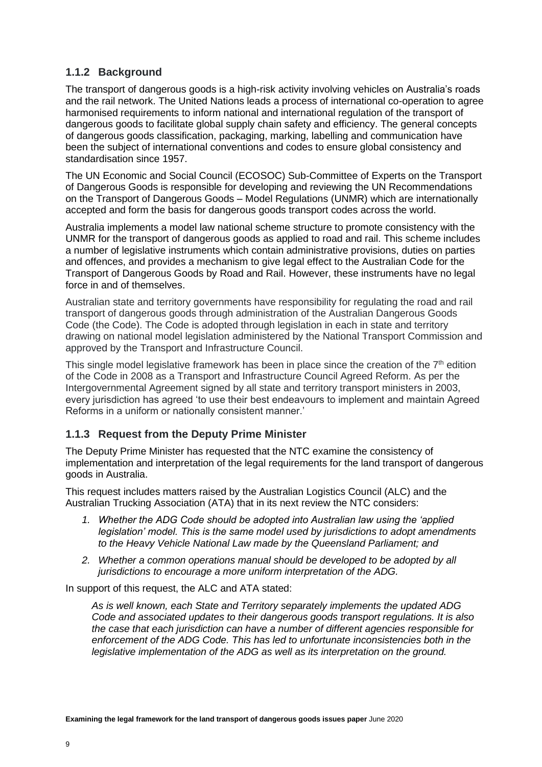## **1.1.2 Background**

The transport of dangerous goods is a high-risk activity involving vehicles on Australia's roads and the rail network. The United Nations leads a process of international co-operation to agree harmonised requirements to inform national and international regulation of the transport of dangerous goods to facilitate global supply chain safety and efficiency. The general concepts of dangerous goods classification, packaging, marking, labelling and communication have been the subject of international conventions and codes to ensure global consistency and standardisation since 1957.

The UN Economic and Social Council (ECOSOC) Sub-Committee of Experts on the Transport of Dangerous Goods is responsible for developing and reviewing the UN Recommendations on the Transport of Dangerous Goods – Model Regulations (UNMR) which are internationally accepted and form the basis for dangerous goods transport codes across the world.

Australia implements a model law national scheme structure to promote consistency with the UNMR for the transport of dangerous goods as applied to road and rail. This scheme includes a number of legislative instruments which contain administrative provisions, duties on parties and offences, and provides a mechanism to give legal effect to the Australian Code for the Transport of Dangerous Goods by Road and Rail. However, these instruments have no legal force in and of themselves.

Australian state and territory governments have responsibility for regulating the road and rail transport of dangerous goods through administration of the Australian Dangerous Goods Code (the Code). The Code is adopted through legislation in each in state and territory drawing on national model legislation administered by the National Transport Commission and approved by the Transport and Infrastructure Council.

This single model legislative framework has been in place since the creation of the  $7<sup>th</sup>$  edition of the Code in 2008 as a Transport and Infrastructure Council Agreed Reform. As per the Intergovernmental Agreement signed by all state and territory transport ministers in 2003, every jurisdiction has agreed 'to use their best endeavours to implement and maintain Agreed Reforms in a uniform or nationally consistent manner.'

#### **1.1.3 Request from the Deputy Prime Minister**

The Deputy Prime Minister has requested that the NTC examine the consistency of implementation and interpretation of the legal requirements for the land transport of dangerous goods in Australia.

This request includes matters raised by the Australian Logistics Council (ALC) and the Australian Trucking Association (ATA) that in its next review the NTC considers:

- *1. Whether the ADG Code should be adopted into Australian law using the 'applied legislation' model. This is the same model used by jurisdictions to adopt amendments to the Heavy Vehicle National Law made by the Queensland Parliament; and*
- 2. Whether a common operations manual should be developed to be adopted by all *jurisdictions to encourage a more uniform interpretation of the ADG.*

In support of this request, the ALC and ATA stated:

*As is well known, each State and Territory separately implements the updated ADG Code and associated updates to their dangerous goods transport regulations. It is also the case that each jurisdiction can have a number of different agencies responsible for enforcement of the ADG Code. This has led to unfortunate inconsistencies both in the*  legislative implementation of the ADG as well as its interpretation on the ground.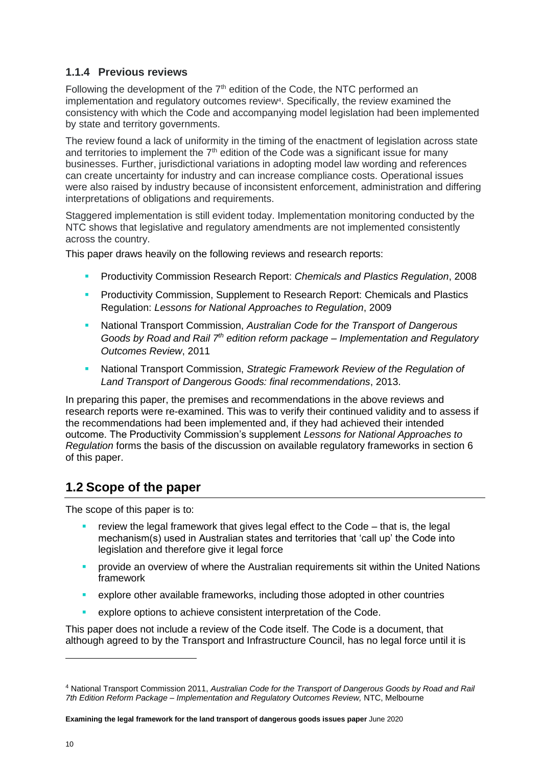## **1.1.4 Previous reviews**

Following the development of the  $7<sup>th</sup>$  edition of the Code, the NTC performed an implementation and regulatory outcomes review<sup>4</sup>. Specifically, the review examined the consistency with which the Code and accompanying model legislation had been implemented by state and territory governments.

The review found a lack of uniformity in the timing of the enactment of legislation across state and territories to implement the  $7<sup>th</sup>$  edition of the Code was a significant issue for many businesses. Further, jurisdictional variations in adopting model law wording and references can create uncertainty for industry and can increase compliance costs. Operational issues were also raised by industry because of inconsistent enforcement, administration and differing interpretations of obligations and requirements.

Staggered implementation is still evident today. Implementation monitoring conducted by the NTC shows that legislative and regulatory amendments are not implemented consistently across the country.

This paper draws heavily on the following reviews and research reports:

- Productivity Commission Research Report: *Chemicals and Plastics Regulation*, 2008
- **Productivity Commission, Supplement to Research Report: Chemicals and Plastics** Regulation: *Lessons for National Approaches to Regulation*, 2009
- National Transport Commission, *Australian Code for the Transport of Dangerous Goods by Road and Rail 7th edition reform package – Implementation and Regulatory Outcomes Review*, 2011
- National Transport Commission, *Strategic Framework Review of the Regulation of Land Transport of Dangerous Goods: final recommendations*, 2013.

In preparing this paper, the premises and recommendations in the above reviews and research reports were re-examined. This was to verify their continued validity and to assess if the recommendations had been implemented and, if they had achieved their intended outcome. The Productivity Commission's supplement *Lessons for National Approaches to Regulation* forms the basis of the discussion on available regulatory frameworks in section 6 of this paper.

## **1.2 Scope of the paper**

The scope of this paper is to:

- review the legal framework that gives legal effect to the Code  $-$  that is, the legal mechanism(s) used in Australian states and territories that 'call up' the Code into legislation and therefore give it legal force
- **•** provide an overview of where the Australian requirements sit within the United Nations framework
- **•** explore other available frameworks, including those adopted in other countries
- explore options to achieve consistent interpretation of the Code.

This paper does not include a review of the Code itself. The Code is a document, that although agreed to by the Transport and Infrastructure Council, has no legal force until it is

<sup>4</sup> National Transport Commission 2011, *Australian Code for the Transport of Dangerous Goods by Road and Rail 7th Edition Reform Package – Implementation and Regulatory Outcomes Review,* NTC, Melbourne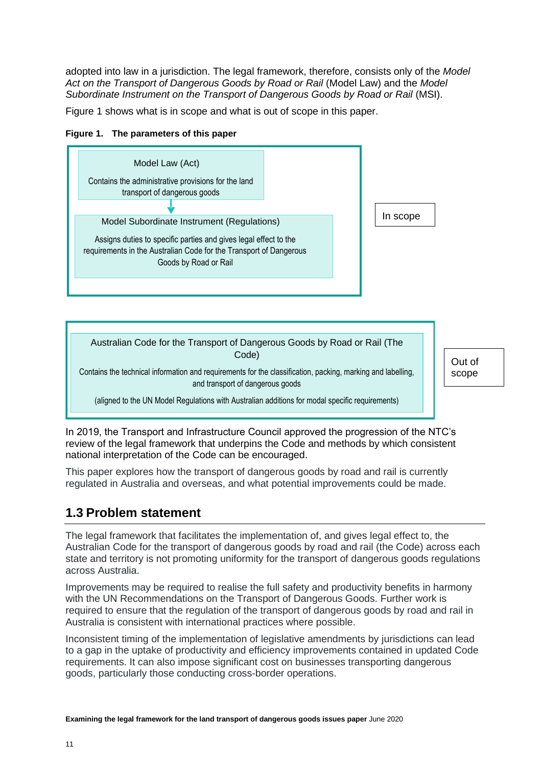adopted into law in a jurisdiction. The legal framework, therefore, consists only of the *Model Act on the Transport of Dangerous Goods by Road or Rail* (Model Law) and the *Model Subordinate Instrument on the Transport of Dangerous Goods by Road or Rail* (MSI).

Figure 1 shows what is in scope and what is out of scope in this paper.







Out of scope

In 2019, the Transport and Infrastructure Council approved the progression of the NTC's review of the legal framework that underpins the Code and methods by which consistent national interpretation of the Code can be encouraged.

This paper explores how the transport of dangerous goods by road and rail is currently regulated in Australia and overseas, and what potential improvements could be made.

# **1.3 Problem statement**

The legal framework that facilitates the implementation of, and gives legal effect to, the Australian Code for the transport of dangerous goods by road and rail (the Code) across each state and territory is not promoting uniformity for the transport of dangerous goods regulations across Australia.

Improvements may be required to realise the full safety and productivity benefits in harmony with the UN Recommendations on the Transport of Dangerous Goods. Further work is required to ensure that the regulation of the transport of dangerous goods by road and rail in Australia is consistent with international practices where possible.

Inconsistent timing of the implementation of legislative amendments by jurisdictions can lead to a gap in the uptake of productivity and efficiency improvements contained in updated Code requirements. It can also impose significant cost on businesses transporting dangerous goods, particularly those conducting cross-border operations.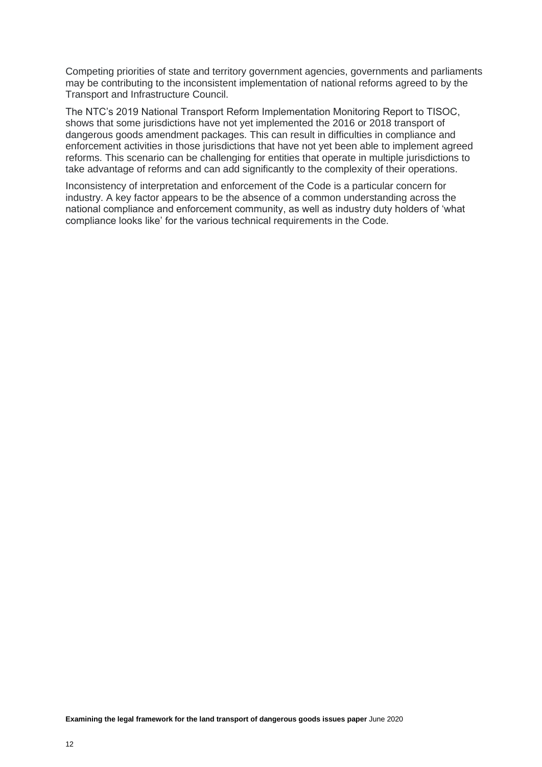Competing priorities of state and territory government agencies, governments and parliaments may be contributing to the inconsistent implementation of national reforms agreed to by the Transport and Infrastructure Council.

The NTC's 2019 National Transport Reform Implementation Monitoring Report to TISOC, shows that some jurisdictions have not yet implemented the 2016 or 2018 transport of dangerous goods amendment packages. This can result in difficulties in compliance and enforcement activities in those jurisdictions that have not yet been able to implement agreed reforms. This scenario can be challenging for entities that operate in multiple jurisdictions to take advantage of reforms and can add significantly to the complexity of their operations.

Inconsistency of interpretation and enforcement of the Code is a particular concern for industry. A key factor appears to be the absence of a common understanding across the national compliance and enforcement community, as well as industry duty holders of 'what compliance looks like' for the various technical requirements in the Code.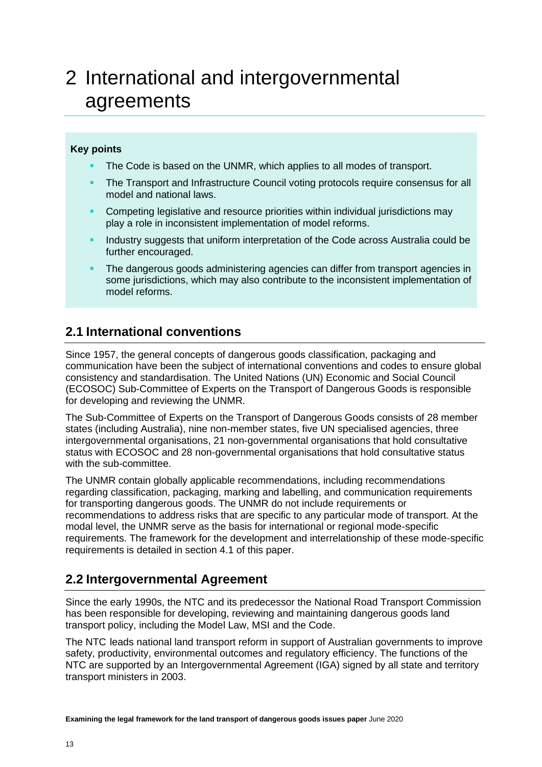# 2 International and intergovernmental agreements

#### **Key points**

- The Code is based on the UNMR, which applies to all modes of transport.
- The Transport and Infrastructure Council voting protocols require consensus for all model and national laws.
- Competing legislative and resource priorities within individual jurisdictions may play a role in inconsistent implementation of model reforms.
- Industry suggests that uniform interpretation of the Code across Australia could be further encouraged.
- The dangerous goods administering agencies can differ from transport agencies in some jurisdictions, which may also contribute to the inconsistent implementation of model reforms.

## **2.1 International conventions**

Since 1957, the general concepts of dangerous goods classification, packaging and communication have been the subject of international conventions and codes to ensure global consistency and standardisation. The United Nations (UN) Economic and Social Council (ECOSOC) Sub-Committee of Experts on the Transport of Dangerous Goods is responsible for developing and reviewing the UNMR.

The Sub-Committee of Experts on the Transport of Dangerous Goods consists of 28 member states (including Australia), nine non-member states, five UN specialised agencies, three intergovernmental organisations, 21 non-governmental organisations that hold consultative status with ECOSOC and 28 non-governmental organisations that hold consultative status with the sub-committee.

The UNMR contain globally applicable recommendations, including recommendations regarding classification, packaging, marking and labelling, and communication requirements for transporting dangerous goods. The UNMR do not include requirements or recommendations to address risks that are specific to any particular mode of transport. At the modal level, the UNMR serve as the basis for international or regional mode-specific requirements. The framework for the development and interrelationship of these mode-specific requirements is detailed in section 4.1 of this paper.

## **2.2 Intergovernmental Agreement**

Since the early 1990s, the NTC and its predecessor the National Road Transport Commission has been responsible for developing, reviewing and maintaining dangerous goods land transport policy, including the Model Law, MSI and the Code.

The NTC leads national land transport reform in support of Australian governments to improve safety, productivity, environmental outcomes and regulatory efficiency. The functions of the NTC are supported by an Intergovernmental Agreement (IGA) signed by all state and territory transport ministers in 2003.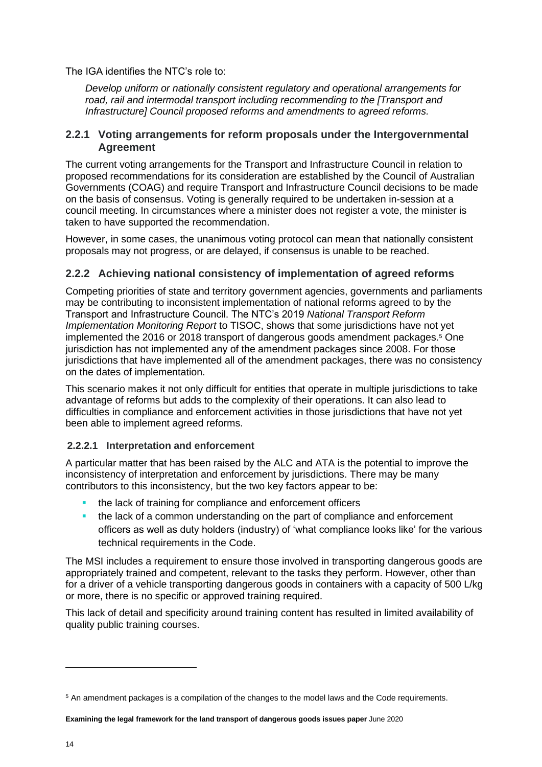The IGA identifies the NTC's role to:

*Develop uniform or nationally consistent regulatory and operational arrangements for road, rail and intermodal transport including recommending to the [Transport and Infrastructure] Council proposed reforms and amendments to agreed reforms.*

#### **2.2.1 Voting arrangements for reform proposals under the Intergovernmental Agreement**

The current voting arrangements for the Transport and Infrastructure Council in relation to proposed recommendations for its consideration are established by the Council of Australian Governments (COAG) and require Transport and Infrastructure Council decisions to be made on the basis of consensus. Voting is generally required to be undertaken in-session at a council meeting. In circumstances where a minister does not register a vote, the minister is taken to have supported the recommendation.

However, in some cases, the unanimous voting protocol can mean that nationally consistent proposals may not progress, or are delayed, if consensus is unable to be reached.

#### **2.2.2 Achieving national consistency of implementation of agreed reforms**

Competing priorities of state and territory government agencies, governments and parliaments may be contributing to inconsistent implementation of national reforms agreed to by the Transport and Infrastructure Council. The NTC's 2019 *National Transport Reform Implementation Monitoring Report* to TISOC, shows that some jurisdictions have not yet implemented the 2016 or 2018 transport of dangerous goods amendment packages.<sup>5</sup> One jurisdiction has not implemented any of the amendment packages since 2008. For those jurisdictions that have implemented all of the amendment packages, there was no consistency on the dates of implementation.

This scenario makes it not only difficult for entities that operate in multiple jurisdictions to take advantage of reforms but adds to the complexity of their operations. It can also lead to difficulties in compliance and enforcement activities in those jurisdictions that have not yet been able to implement agreed reforms.

#### **2.2.2.1 Interpretation and enforcement**

A particular matter that has been raised by the ALC and ATA is the potential to improve the inconsistency of interpretation and enforcement by jurisdictions. There may be many contributors to this inconsistency, but the two key factors appear to be:

- the lack of training for compliance and enforcement officers
- the lack of a common understanding on the part of compliance and enforcement officers as well as duty holders (industry) of 'what compliance looks like' for the various technical requirements in the Code.

The MSI includes a requirement to ensure those involved in transporting dangerous goods are appropriately trained and competent, relevant to the tasks they perform. However, other than for a driver of a vehicle transporting dangerous goods in containers with a capacity of 500 L/kg or more, there is no specific or approved training required.

This lack of detail and specificity around training content has resulted in limited availability of quality public training courses.

<sup>5</sup> An amendment packages is a compilation of the changes to the model laws and the Code requirements.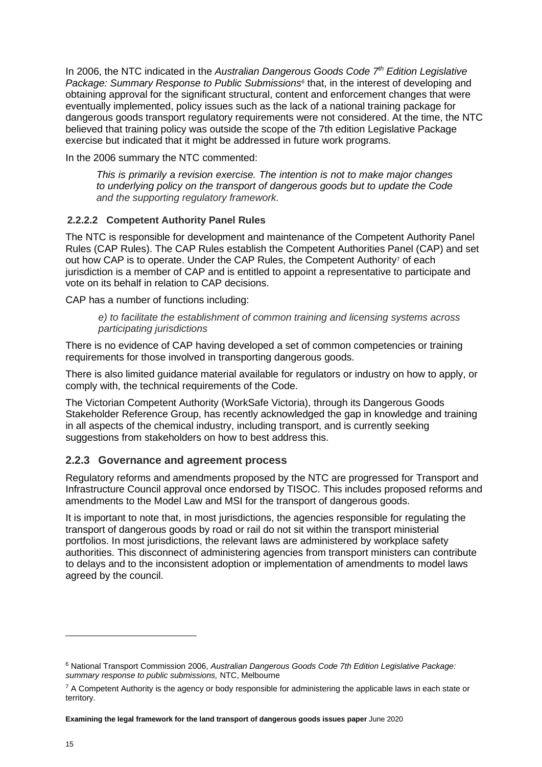In 2006, the NTC indicated in the *Australian Dangerous Goods Code 7th Edition Legislative Package: Summary Response to Public Submissions<sup>6</sup>* that, in the interest of developing and obtaining approval for the significant structural, content and enforcement changes that were eventually implemented, policy issues such as the lack of a national training package for dangerous goods transport regulatory requirements were not considered. At the time, the NTC believed that training policy was outside the scope of the 7th edition Legislative Package exercise but indicated that it might be addressed in future work programs.

In the 2006 summary the NTC commented:

*This is primarily a revision exercise. The intention is not to make major changes to underlying policy on the transport of dangerous goods but to update the Code and the supporting regulatory framework.* 

#### **2.2.2.2 Competent Authority Panel Rules**

The NTC is responsible for development and maintenance of the Competent Authority Panel Rules (CAP Rules). The CAP Rules establish the Competent Authorities Panel (CAP) and set out how CAP is to operate. Under the CAP Rules, the Competent Authority<sup>7</sup> of each jurisdiction is a member of CAP and is entitled to appoint a representative to participate and vote on its behalf in relation to CAP decisions.

CAP has a number of functions including:

*e) to facilitate the establishment of common training and licensing systems across participating jurisdictions*

There is no evidence of CAP having developed a set of common competencies or training requirements for those involved in transporting dangerous goods.

There is also limited guidance material available for regulators or industry on how to apply, or comply with, the technical requirements of the Code.

The Victorian Competent Authority (WorkSafe Victoria), through its Dangerous Goods Stakeholder Reference Group, has recently acknowledged the gap in knowledge and training in all aspects of the chemical industry, including transport, and is currently seeking suggestions from stakeholders on how to best address this.

#### **2.2.3 Governance and agreement process**

Regulatory reforms and amendments proposed by the NTC are progressed for Transport and Infrastructure Council approval once endorsed by TISOC. This includes proposed reforms and amendments to the Model Law and MSI for the transport of dangerous goods.

It is important to note that, in most jurisdictions, the agencies responsible for regulating the transport of dangerous goods by road or rail do not sit within the transport ministerial portfolios. In most jurisdictions, the relevant laws are administered by workplace safety authorities. This disconnect of administering agencies from transport ministers can contribute to delays and to the inconsistent adoption or implementation of amendments to model laws agreed by the council.

<sup>6</sup> National Transport Commission 2006, *Australian Dangerous Goods Code 7th Edition Legislative Package: summary response to public submissions,* NTC, Melbourne

 $7$  A Competent Authority is the agency or body responsible for administering the applicable laws in each state or territory.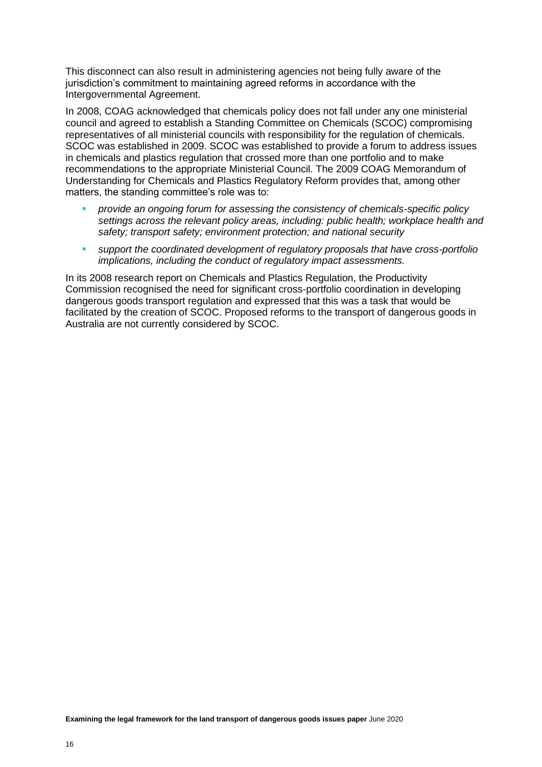This disconnect can also result in administering agencies not being fully aware of the jurisdiction's commitment to maintaining agreed reforms in accordance with the Intergovernmental Agreement.

In 2008, COAG acknowledged that chemicals policy does not fall under any one ministerial council and agreed to establish a Standing Committee on Chemicals (SCOC) compromising representatives of all ministerial councils with responsibility for the regulation of chemicals. SCOC was established in 2009. SCOC was established to provide a forum to address issues in chemicals and plastics regulation that crossed more than one portfolio and to make recommendations to the appropriate Ministerial Council. The 2009 COAG Memorandum of Understanding for Chemicals and Plastics Regulatory Reform provides that, among other matters, the standing committee's role was to:

- *provide an ongoing forum for assessing the consistency of chemicals-specific policy settings across the relevant policy areas, including: public health; workplace health and safety; transport safety; environment protection; and national security*
- *support the coordinated development of regulatory proposals that have cross-portfolio implications, including the conduct of regulatory impact assessments.*

In its 2008 research report on Chemicals and Plastics Regulation, the Productivity Commission recognised the need for significant cross-portfolio coordination in developing dangerous goods transport regulation and expressed that this was a task that would be facilitated by the creation of SCOC. Proposed reforms to the transport of dangerous goods in Australia are not currently considered by SCOC.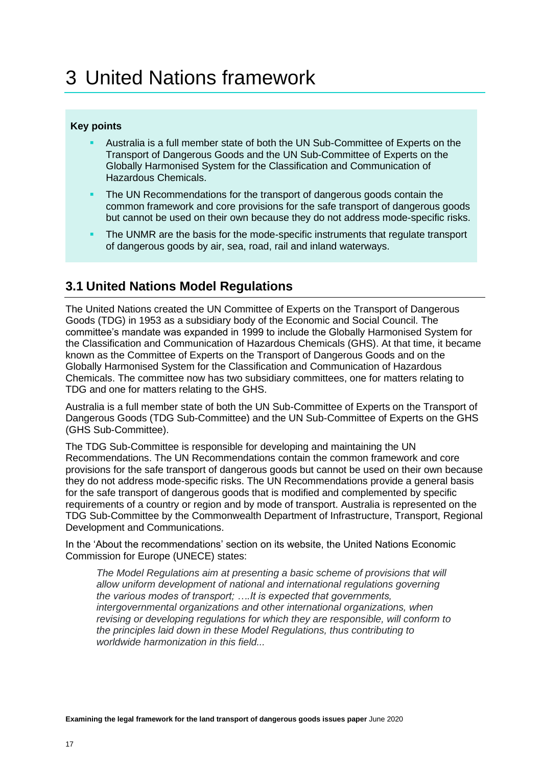### **Key points**

- Australia is a full member state of both the UN Sub-Committee of Experts on the Transport of Dangerous Goods and the UN Sub-Committee of Experts on the Globally Harmonised System for the Classification and Communication of Hazardous Chemicals.
- The UN Recommendations for the transport of dangerous goods contain the common framework and core provisions for the safe transport of dangerous goods but cannot be used on their own because they do not address mode-specific risks.
- The UNMR are the basis for the mode-specific instruments that regulate transport of dangerous goods by air, sea, road, rail and inland waterways.

# **3.1 United Nations Model Regulations**

The United Nations created the UN Committee of Experts on the Transport of Dangerous Goods (TDG) in 1953 as a subsidiary body of the Economic and Social Council. The committee's mandate was expanded in 1999 to include the Globally Harmonised System for the Classification and Communication of Hazardous Chemicals (GHS). At that time, it became known as the Committee of Experts on the Transport of Dangerous Goods and on the Globally Harmonised System for the Classification and Communication of Hazardous Chemicals. The committee now has two subsidiary committees, one for matters relating to TDG and one for matters relating to the GHS.

Australia is a full member state of both the UN Sub-Committee of Experts on the Transport of Dangerous Goods (TDG Sub-Committee) and the UN Sub-Committee of Experts on the GHS (GHS Sub-Committee).

The TDG Sub-Committee is responsible for developing and maintaining the UN Recommendations. The UN Recommendations contain the common framework and core provisions for the safe transport of dangerous goods but cannot be used on their own because they do not address mode-specific risks. The UN Recommendations provide a general basis for the safe transport of dangerous goods that is modified and complemented by specific requirements of a country or region and by mode of transport. Australia is represented on the TDG Sub-Committee by the Commonwealth Department of Infrastructure, Transport, Regional Development and Communications.

In the 'About the recommendations' section on its website, the United Nations Economic Commission for Europe (UNECE) states:

The Model Regulations aim at presenting a basic scheme of provisions that will *allow uniform development of national and international regulations governing the various modes of transport; ….It is expected that governments, intergovernmental organizations and other international organizations, when revising or developing regulations for which they are responsible, will conform to the principles laid down in these Model Regulations, thus contributing to worldwide harmonization in this field...*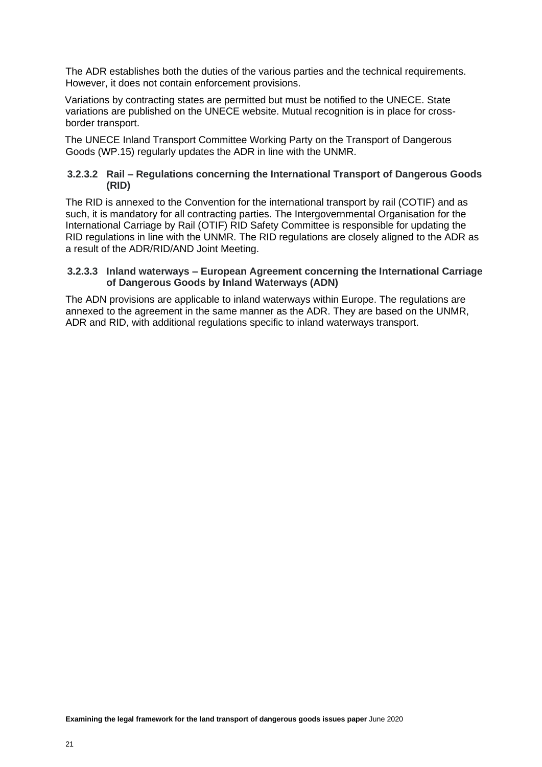The ADR establishes both the duties of the various parties and the technical requirements. However, it does not contain enforcement provisions.

Variations by contracting states are permitted but must be notified to the UNECE. State variations are published on the UNECE website. Mutual recognition is in place for crossborder transport.

The UNECE Inland Transport Committee Working Party on the Transport of Dangerous Goods (WP.15) regularly updates the ADR in line with the UNMR.

#### **3.2.3.2 Rail – Regulations concerning the International Transport of Dangerous Goods (RID)**

The RID is annexed to the Convention for the international transport by rail (COTIF) and as such, it is mandatory for all contracting parties. The Intergovernmental Organisation for the International Carriage by Rail (OTIF) RID Safety Committee is responsible for updating the RID regulations in line with the UNMR. The RID regulations are closely aligned to the ADR as a result of the ADR/RID/AND Joint Meeting.

#### **3.2.3.3 Inland waterways – European Agreement concerning the International Carriage of Dangerous Goods by Inland Waterways (ADN)**

The ADN provisions are applicable to inland waterways within Europe. The regulations are annexed to the agreement in the same manner as the ADR. They are based on the UNMR, ADR and RID, with additional regulations specific to inland waterways transport.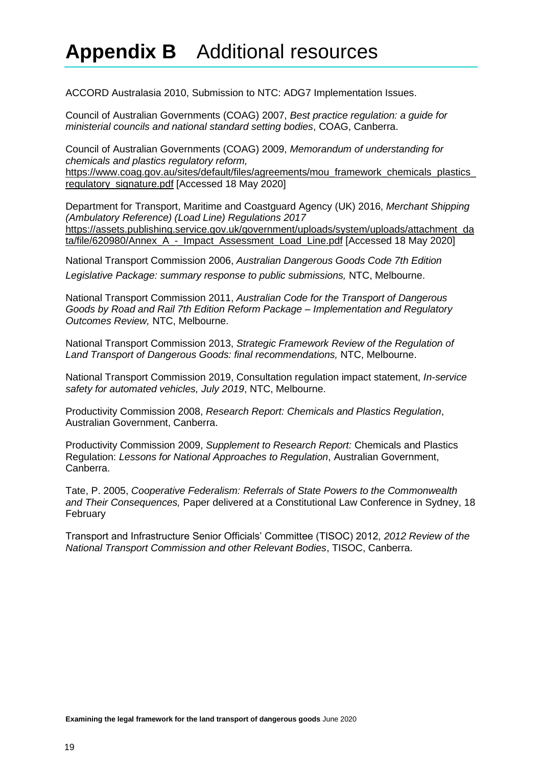# **Appendix B** Additional resources

ACCORD Australasia 2010, Submission to NTC: ADG7 Implementation Issues.

Council of Australian Governments (COAG) 2007, *Best practice regulation: a guide for ministerial councils and national standard setting bodies*, COAG, Canberra.

Council of Australian Governments (COAG) 2009, *Memorandum of understanding for chemicals and plastics regulatory reform,* [https://www.coag.gov.au/sites/default/files/agreements/mou\\_framework\\_chemicals\\_plastics\\_](https://www.coag.gov.au/sites/default/files/agreements/mou_framework_chemicals_plastics_regulatory_signature.pdf) [regulatory\\_signature.pdf](https://www.coag.gov.au/sites/default/files/agreements/mou_framework_chemicals_plastics_regulatory_signature.pdf) [Accessed 18 May 2020]

Department for Transport, Maritime and Coastguard Agency (UK) 2016, *Merchant Shipping (Ambulatory Reference) (Load Line) Regulations 2017* [https://assets.publishing.service.gov.uk/government/uploads/system/uploads/attachment\\_da](https://assets.publishing.service.gov.uk/government/uploads/system/uploads/attachment_data/file/620980/Annex_A_-_Impact_Assessment_Load_Line.pdf) [ta/file/620980/Annex\\_A\\_-\\_Impact\\_Assessment\\_Load\\_Line.pdf](https://assets.publishing.service.gov.uk/government/uploads/system/uploads/attachment_data/file/620980/Annex_A_-_Impact_Assessment_Load_Line.pdf) [Accessed 18 May 2020]

National Transport Commission 2006, *Australian Dangerous Goods Code 7th Edition Legislative Package: summary response to public submissions,* NTC, Melbourne.

National Transport Commission 2011, *Australian Code for the Transport of Dangerous Goods by Road and Rail 7th Edition Reform Package – Implementation and Regulatory Outcomes Review,* NTC, Melbourne.

National Transport Commission 2013, *Strategic Framework Review of the Regulation of Land Transport of Dangerous Goods: final recommendations,* NTC, Melbourne.

National Transport Commission 2019, Consultation regulation impact statement, *In-service safety for automated vehicles, July 2019*, NTC, Melbourne.

Productivity Commission 2008, *Research Report: Chemicals and Plastics Regulation*, Australian Government, Canberra.

Productivity Commission 2009, *Supplement to Research Report:* Chemicals and Plastics Regulation: *Lessons for National Approaches to Regulation*, Australian Government, Canberra.

Tate, P. 2005, *Cooperative Federalism: Referrals of State Powers to the Commonwealth and Their Consequences,* Paper delivered at a Constitutional Law Conference in Sydney, 18 February

Transport and Infrastructure Senior Officials' Committee (TISOC) 2012, *2012 Review of the National Transport Commission and other Relevant Bodies*, TISOC, Canberra.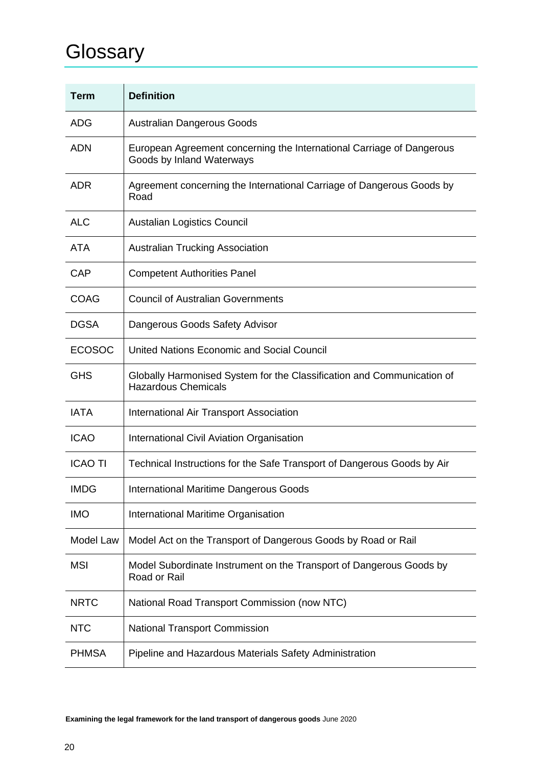# **Glossary**

| <b>Term</b>    | <b>Definition</b>                                                                                    |  |
|----------------|------------------------------------------------------------------------------------------------------|--|
| ADG            | <b>Australian Dangerous Goods</b>                                                                    |  |
| <b>ADN</b>     | European Agreement concerning the International Carriage of Dangerous<br>Goods by Inland Waterways   |  |
| <b>ADR</b>     | Agreement concerning the International Carriage of Dangerous Goods by<br>Road                        |  |
| <b>ALC</b>     | <b>Austalian Logistics Council</b>                                                                   |  |
| <b>ATA</b>     | <b>Australian Trucking Association</b>                                                               |  |
| CAP            | <b>Competent Authorities Panel</b>                                                                   |  |
| <b>COAG</b>    | <b>Council of Australian Governments</b>                                                             |  |
| <b>DGSA</b>    | Dangerous Goods Safety Advisor                                                                       |  |
| <b>ECOSOC</b>  | United Nations Economic and Social Council                                                           |  |
| <b>GHS</b>     | Globally Harmonised System for the Classification and Communication of<br><b>Hazardous Chemicals</b> |  |
| <b>IATA</b>    | International Air Transport Association                                                              |  |
| <b>ICAO</b>    | International Civil Aviation Organisation                                                            |  |
| <b>ICAO TI</b> | Technical Instructions for the Safe Transport of Dangerous Goods by Air                              |  |
| <b>IMDG</b>    | <b>International Maritime Dangerous Goods</b>                                                        |  |
| <b>IMO</b>     | International Maritime Organisation                                                                  |  |
| Model Law      | Model Act on the Transport of Dangerous Goods by Road or Rail                                        |  |
| <b>MSI</b>     | Model Subordinate Instrument on the Transport of Dangerous Goods by<br>Road or Rail                  |  |
| <b>NRTC</b>    | National Road Transport Commission (now NTC)                                                         |  |
| <b>NTC</b>     | <b>National Transport Commission</b>                                                                 |  |
| <b>PHMSA</b>   | Pipeline and Hazardous Materials Safety Administration                                               |  |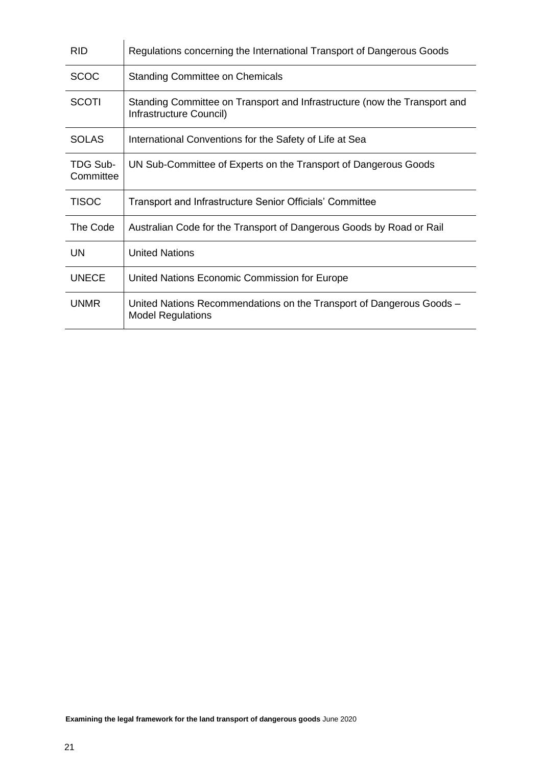| <b>RID</b>            | Regulations concerning the International Transport of Dangerous Goods                                |  |
|-----------------------|------------------------------------------------------------------------------------------------------|--|
| <b>SCOC</b>           | <b>Standing Committee on Chemicals</b>                                                               |  |
| <b>SCOTI</b>          | Standing Committee on Transport and Infrastructure (now the Transport and<br>Infrastructure Council) |  |
| <b>SOLAS</b>          | International Conventions for the Safety of Life at Sea                                              |  |
| TDG Sub-<br>Committee | UN Sub-Committee of Experts on the Transport of Dangerous Goods                                      |  |
| <b>TISOC</b>          | Transport and Infrastructure Senior Officials' Committee                                             |  |
| The Code              | Australian Code for the Transport of Dangerous Goods by Road or Rail                                 |  |
| UN                    | <b>United Nations</b>                                                                                |  |
| <b>UNECE</b>          | United Nations Economic Commission for Europe                                                        |  |
| <b>UNMR</b>           | United Nations Recommendations on the Transport of Dangerous Goods -<br><b>Model Regulations</b>     |  |